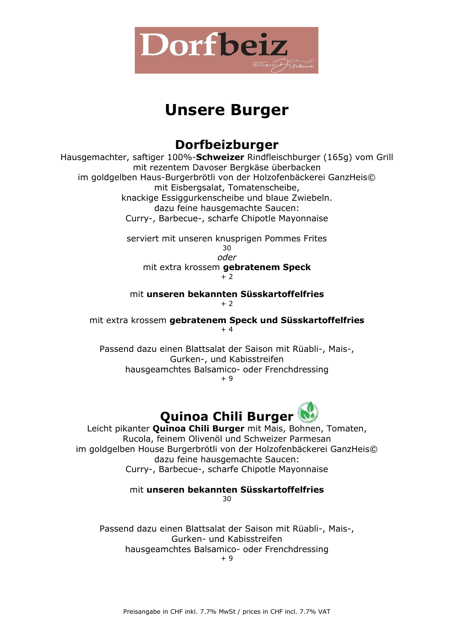

# **Unsere Burger**

### **Dorfbeizburger**

Hausgemachter, saftiger 100%-**Schweizer** Rindfleischburger (165g) vom Grill mit rezentem Davoser Bergkäse überbacken im goldgelben Haus-Burgerbrötli von der Holzofenbäckerei GanzHeis© mit Eisbergsalat, Tomatenscheibe, knackige Essiggurkenscheibe und blaue Zwiebeln. dazu feine hausgemachte Saucen: Curry-, Barbecue-, scharfe Chipotle Mayonnaise

> serviert mit unseren knusprigen Pommes Frites 30 *oder* mit extra krossem **gebratenem Speck**

+ 2

#### mit **unseren bekannten Süsskartoffelfries**  $+ 2$

mit extra krossem **gebratenem Speck und Süsskartoffelfries** + 4

Passend dazu einen Blattsalat der Saison mit Rüabli-, Mais-, Gurken-, und Kabisstreifen hausgeamchtes Balsamico- oder Frenchdressing

+ 9

## **Quinoa Chili Burger**

Leicht pikanter **Quinoa Chili Burger** mit Mais, Bohnen, Tomaten, Rucola, feinem Olivenöl und Schweizer Parmesan im goldgelben House Burgerbrötli von der Holzofenbäckerei GanzHeis© dazu feine hausgemachte Saucen: Curry-, Barbecue-, scharfe Chipotle Mayonnaise

mit **unseren bekannten Süsskartoffelfries**

 $30$ 

Passend dazu einen Blattsalat der Saison mit Rüabli-, Mais-, Gurken- und Kabisstreifen hausgeamchtes Balsamico- oder Frenchdressing + 9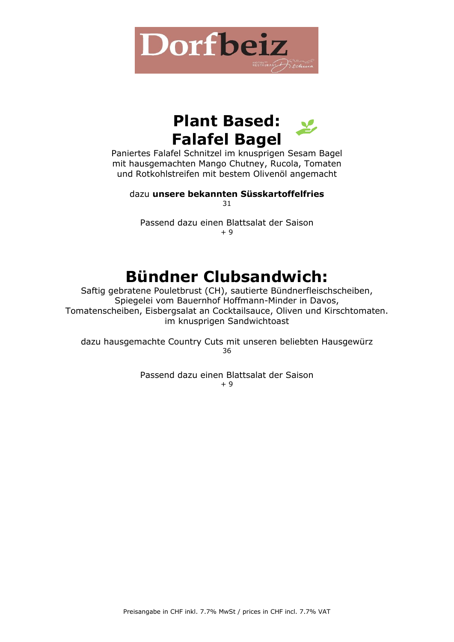



Paniertes Falafel Schnitzel im knusprigen Sesam Bagel mit hausgemachten Mango Chutney, Rucola, Tomaten und Rotkohlstreifen mit bestem Olivenöl angemacht

dazu **unsere bekannten Süsskartoffelfries** 31

Passend dazu einen Blattsalat der Saison  $+9$ 

## **Bündner Clubsandwich:**

Saftig gebratene Pouletbrust (CH), sautierte Bündnerfleischscheiben, Spiegelei vom Bauernhof Hoffmann-Minder in Davos, Tomatenscheiben, Eisbergsalat an Cocktailsauce, Oliven und Kirschtomaten. im knusprigen Sandwichtoast

dazu hausgemachte Country Cuts mit unseren beliebten Hausgewürz 36

> Passend dazu einen Blattsalat der Saison  $+9$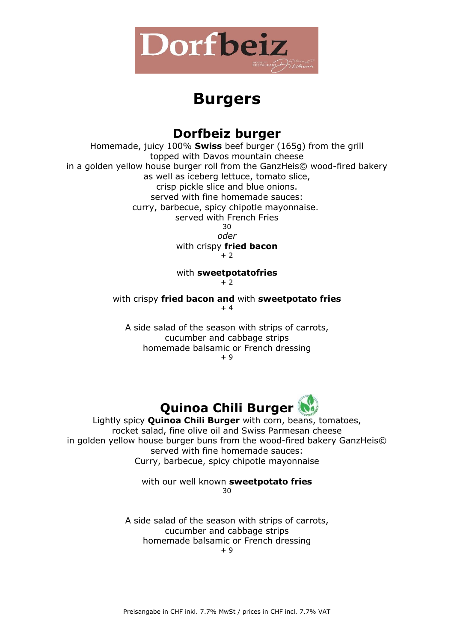

## **Burgers**

#### **Dorfbeiz burger**

Homemade, juicy 100% **Swiss** beef burger (165g) from the grill topped with Davos mountain cheese in a golden yellow house burger roll from the GanzHeis© wood-fired bakery as well as iceberg lettuce, tomato slice, crisp pickle slice and blue onions. served with fine homemade sauces: curry, barbecue, spicy chipotle mayonnaise. served with French Fries 30 *oder* with crispy **fried bacon**  $+2$ 

#### with **sweetpotatofries**

 $+2$ 

with crispy **fried bacon and** with **sweetpotato fries** + 4

A side salad of the season with strips of carrots, cucumber and cabbage strips homemade balsamic or French dressing + 9



Lightly spicy **Quinoa Chili Burger** with corn, beans, tomatoes, rocket salad, fine olive oil and Swiss Parmesan cheese in golden yellow house burger buns from the wood-fired bakery GanzHeis© served with fine homemade sauces: Curry, barbecue, spicy chipotle mayonnaise

> with our well known **sweetpotato fries** 30

A side salad of the season with strips of carrots, cucumber and cabbage strips homemade balsamic or French dressing

+ 9